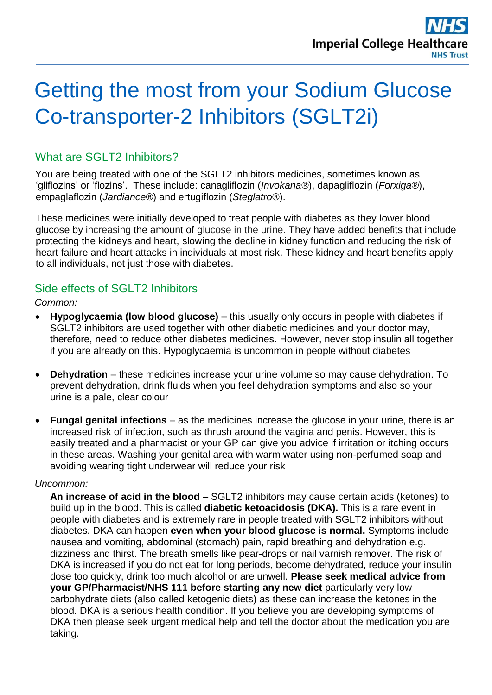# Getting the most from your Sodium Glucose Co-transporter-2 Inhibitors (SGLT2i)

## What are SGLT2 Inhibitors?

You are being treated with one of the SGLT2 inhibitors medicines, sometimes known as 'gliflozins' or 'flozins'. These include: canagliflozin (*Invokana®*), dapagliflozin (*Forxiga®*), empaglaflozin (*Jardiance®*) and ertugiflozin (*Steglatro®*).

These medicines were initially developed to treat people with diabetes as they lower blood glucose by increasing the amount of glucose in the urine. They have added benefits that include protecting the kidneys and heart, slowing the decline in kidney function and reducing the risk of heart failure and heart attacks in individuals at most risk. These kidney and heart benefits apply to all individuals, not just those with diabetes.

### Side effects of SGLT2 Inhibitors

#### *Common:*

- **Hypoglycaemia (low blood glucose)** this usually only occurs in people with diabetes if SGLT2 inhibitors are used together with other diabetic medicines and your doctor may, therefore, need to reduce other diabetes medicines. However, never stop insulin all together if you are already on this. Hypoglycaemia is uncommon in people without diabetes
- **Dehydration** these medicines increase your urine volume so may cause dehydration. To prevent dehydration, drink fluids when you feel dehydration symptoms and also so your urine is a pale, clear colour
- **Fungal genital infections** as the medicines increase the glucose in your urine, there is an increased risk of infection, such as thrush around the vagina and penis. However, this is easily treated and a pharmacist or your GP can give you advice if irritation or itching occurs in these areas. Washing your genital area with warm water using non-perfumed soap and avoiding wearing tight underwear will reduce your risk

#### *Uncommon:*

**An increase of acid in the blood** – SGLT2 inhibitors may cause certain acids (ketones) to build up in the blood. This is called **diabetic ketoacidosis (DKA).** This is a rare event in people with diabetes and is extremely rare in people treated with SGLT2 inhibitors without diabetes. DKA can happen **even when your blood glucose is normal.** Symptoms include nausea and vomiting, abdominal (stomach) pain, rapid breathing and dehydration e.g. dizziness and thirst. The breath smells like pear-drops or nail varnish remover. The risk of DKA is increased if you do not eat for long periods, become dehydrated, reduce your insulin dose too quickly, drink too much alcohol or are unwell. **Please seek medical advice from your GP/Pharmacist/NHS 111 before starting any new diet** particularly very low carbohydrate diets (also called ketogenic diets) as these can increase the ketones in the blood. DKA is a serious health condition. If you believe you are developing symptoms of DKA then please seek urgent medical help and tell the doctor about the medication you are taking.